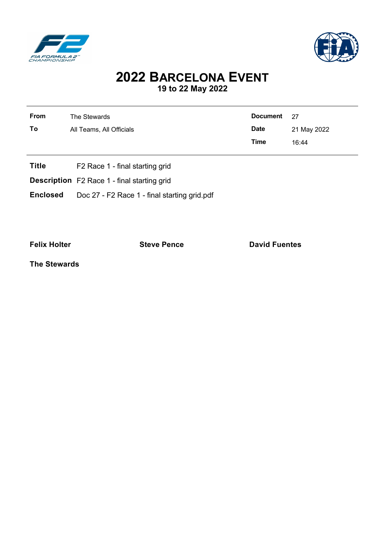

j.



## **2022 BARCELONA EVENT 19 to 22 May 2022**

| <b>From</b><br>To | The Stewards<br>All Teams, All Officials                                                          | <b>Document</b><br><b>Date</b> | 27<br>21 May 2022 |
|-------------------|---------------------------------------------------------------------------------------------------|--------------------------------|-------------------|
|                   |                                                                                                   | Time                           | 16:44             |
| <b>Title</b>      | F <sub>2</sub> Race 1 - final starting grid<br><b>Description</b> F2 Race 1 - final starting grid |                                |                   |
| <b>Enclosed</b>   | Doc 27 - F2 Race 1 - final starting grid.pdf                                                      |                                |                   |

**Felix Holter Contract External Steve Pence David Fuentes** 

**The Stewards**